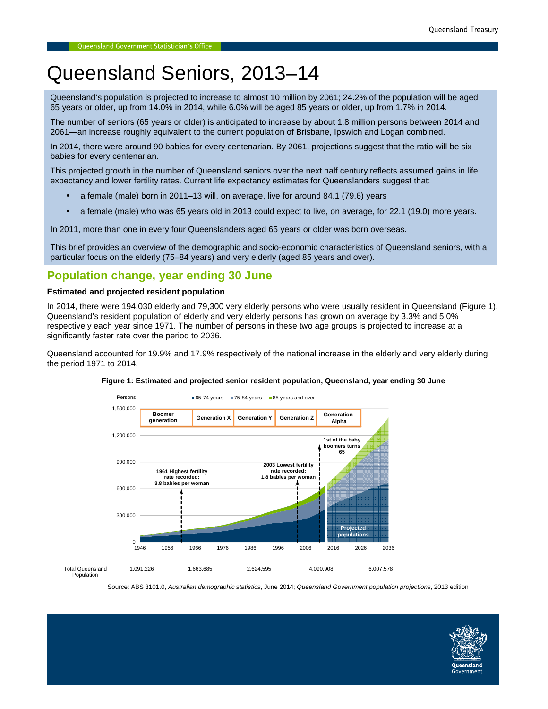# Queensland Seniors, 2013–14

Queensland's population is projected to increase to almost 10 million by 2061; 24.2% of the population will be aged 65 years or older, up from 14.0% in 2014, while 6.0% will be aged 85 years or older, up from 1.7% in 2014.

The number of seniors (65 years or older) is anticipated to increase by about 1.8 million persons between 2014 and 2061—an increase roughly equivalent to the current population of Brisbane, Ipswich and Logan combined.

In 2014, there were around 90 babies for every centenarian. By 2061, projections suggest that the ratio will be six babies for every centenarian.

This projected growth in the number of Queensland seniors over the next half century reflects assumed gains in life expectancy and lower fertility rates. Current life expectancy estimates for Queenslanders suggest that:

- a female (male) born in 2011–13 will, on average, live for around 84.1 (79.6) years
- a female (male) who was 65 years old in 2013 could expect to live, on average, for 22.1 (19.0) more years.

In 2011, more than one in every four Queenslanders aged 65 years or older was born overseas.

This brief provides an overview of the demographic and socio-economic characteristics of Queensland seniors, with a particular focus on the elderly (75–84 years) and very elderly (aged 85 years and over).

# **Population change, year ending 30 June**

# **Estimated and projected resident population**

In 2014, there were 194,030 elderly and 79,300 very elderly persons who were usually resident in Queensland (Figure 1). Queensland's resident population of elderly and very elderly persons has grown on average by 3.3% and 5.0% respectively each year since 1971. The number of persons in these two age groups is projected to increase at a significantly faster rate over the period to 2036.

Queensland accounted for 19.9% and 17.9% respectively of the national increase in the elderly and very elderly during the period 1971 to 2014.



#### **Figure 1: Estimated and projected senior resident population, Queensland, year ending 30 June**

Source: ABS 3101.0, Australian demographic statistics, June 2014; Queensland Government population projections, 2013 edition

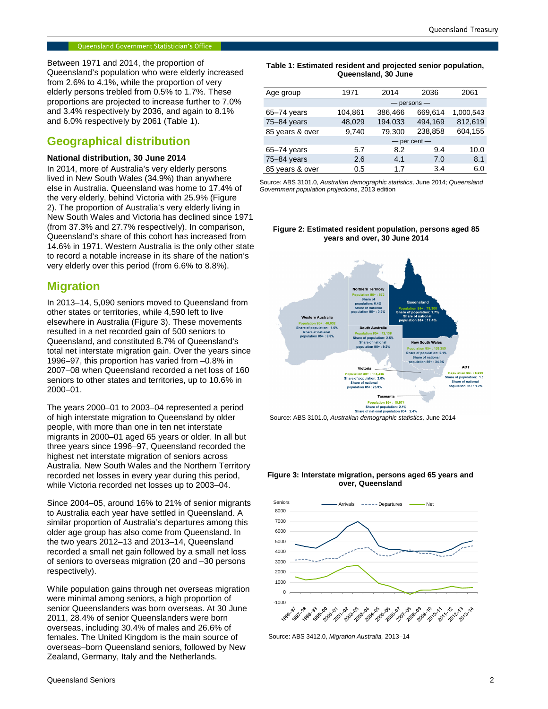Between 1971 and 2014, the proportion of Queensland's population who were elderly increased from 2.6% to 4.1%, while the proportion of very elderly persons trebled from 0.5% to 1.7%. These proportions are projected to increase further to 7.0% and 3.4% respectively by 2036, and again to 8.1% and 6.0% respectively by 2061 (Table 1).

# **Geographical distribution**

## **National distribution, 30 June 2014**

In 2014, more of Australia's very elderly persons lived in New South Wales (34.9%) than anywhere else in Australia. Queensland was home to 17.4% of the very elderly, behind Victoria with 25.9% (Figure 2). The proportion of Australia's very elderly living in New South Wales and Victoria has declined since 1971 (from 37.3% and 27.7% respectively). In comparison, Queensland's share of this cohort has increased from 14.6% in 1971. Western Australia is the only other state to record a notable increase in its share of the nation's very elderly over this period (from 6.6% to 8.8%).

# **Migration**

In 2013–14, 5,090 seniors moved to Queensland from other states or territories, while 4,590 left to live elsewhere in Australia (Figure 3). These movements resulted in a net recorded gain of 500 seniors to Queensland, and constituted 8.7% of Queensland's total net interstate migration gain. Over the years since 1996–97, this proportion has varied from –0.8% in 2007–08 when Queensland recorded a net loss of 160 seniors to other states and territories, up to 10.6% in 2000–01.

The years 2000–01 to 2003–04 represented a period of high interstate migration to Queensland by older people, with more than one in ten net interstate migrants in 2000–01 aged 65 years or older. In all but three years since 1996–97, Queensland recorded the highest net interstate migration of seniors across Australia. New South Wales and the Northern Territory recorded net losses in every year during this period, while Victoria recorded net losses up to 2003–04.

Since 2004–05, around 16% to 21% of senior migrants to Australia each year have settled in Queensland. A similar proportion of Australia's departures among this older age group has also come from Queensland. In the two years 2012–13 and 2013–14, Queensland recorded a small net gain followed by a small net loss of seniors to overseas migration (20 and –30 persons respectively).

While population gains through net overseas migration were minimal among seniors, a high proportion of senior Queenslanders was born overseas. At 30 June 2011, 28.4% of senior Queenslanders were born overseas, including 30.4% of males and 26.6% of females. The United Kingdom is the main source of overseas–born Queensland seniors, followed by New Zealand, Germany, Italy and the Netherlands.

| Table 1: Estimated resident and projected senior population, |  |
|--------------------------------------------------------------|--|
| Queensland, 30 June                                          |  |

| Age group       | 1971    |                  | 2036    | 2061    |  |  |
|-----------------|---------|------------------|---------|---------|--|--|
|                 |         | $-$ persons $-$  |         |         |  |  |
| $65 - 74$ years | 104,861 | 386,466          | 669,614 |         |  |  |
| 75-84 years     | 48.029  | 194.033          | 494.169 | 812,619 |  |  |
| 85 years & over | 9.740   | 79,300           | 238.858 | 604,155 |  |  |
|                 |         | $-$ per cent $-$ |         |         |  |  |
| $65 - 74$ years | 5.7     | 8.2              | 9.4     | 10.0    |  |  |
| 75-84 years     | 2.6     | 4.1              | 7.0     | 8.1     |  |  |
| 85 years & over | 0.5     | 1.7              | 3.4     | 6.0     |  |  |

Source: ABS 3101.0, Australian demographic statistics, June 2014; Queensland Government population projections, 2013 edition

#### **Figure 2: Estimated resident population, persons aged 85 years and over, 30 June 2014**



Source: ABS 3101.0, Australian demographic statistics, June 2014

#### **Figure 3: Interstate migration, persons aged 65 years and over, Queensland**



Source: ABS 3412.0, Migration Australia, 2013–14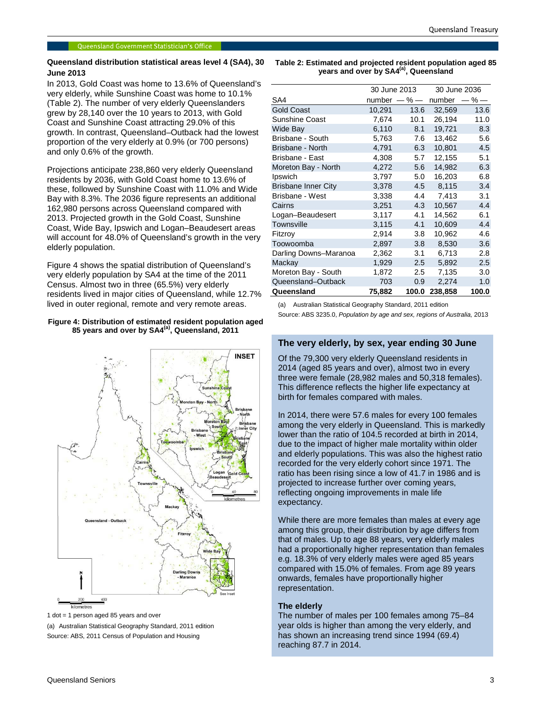# **Queensland distribution statistical areas level 4 (SA4), 30 June 2013**

In 2013, Gold Coast was home to 13.6% of Queensland's very elderly, while Sunshine Coast was home to 10.1% (Table 2). The number of very elderly Queenslanders grew by 28,140 over the 10 years to 2013, with Gold Coast and Sunshine Coast attracting 29.0% of this growth. In contrast, Queensland–Outback had the lowest proportion of the very elderly at 0.9% (or 700 persons) and only 0.6% of the growth.

Projections anticipate 238,860 very elderly Queensland residents by 2036, with Gold Coast home to 13.6% of these, followed by Sunshine Coast with 11.0% and Wide Bay with 8.3%. The 2036 figure represents an additional 162,980 persons across Queensland compared with 2013. Projected growth in the Gold Coast, Sunshine Coast, Wide Bay, Ipswich and Logan–Beaudesert areas will account for 48.0% of Queensland's growth in the very elderly population.

Figure 4 shows the spatial distribution of Queensland's very elderly population by SA4 at the time of the 2011 Census. Almost two in three (65.5%) very elderly residents lived in major cities of Queensland, while 12.7% lived in outer regional, remote and very remote areas.

### **Figure 4: Distribution of estimated resident population aged 85 years and over by SA4(a), Queensland, 2011**



1 dot = 1 person aged 85 years and over

(a) Australian Statistical Geography Standard, 2011 edition Source: ABS, 2011 Census of Population and Housing

**Table 2: Estimated and projected resident population aged 85 years and over by SA4(a), Queensland**

|                            | 30 June 2013 |                     | 30 June 2036 |           |  |
|----------------------------|--------------|---------------------|--------------|-----------|--|
| SA4                        |              | number — % — number |              | $-$ % $-$ |  |
| <b>Gold Coast</b>          | 10,291       | 13.6                | 32,569       | 13.6      |  |
| Sunshine Coast             | 7,674        | 10.1                | 26,194       | 11.0      |  |
| <b>Wide Bay</b>            | 6,110        | 8.1                 | 19,721       | 8.3       |  |
| Brisbane - South           | 5,763        | 7.6                 | 13.462       | 5.6       |  |
| Brisbane - North           | 4,791        | 6.3                 | 10,801       | 4.5       |  |
| Brisbane - East            | 4,308        | 5.7                 | 12,155       | 5.1       |  |
| Moreton Bay - North        | 4,272        | 5.6                 | 14,982       | 6.3       |  |
| Ipswich                    | 3,797        | 5.0                 | 16,203       | 6.8       |  |
| <b>Brisbane Inner City</b> | 3,378        | 4.5                 | 8,115        | 3.4       |  |
| Brisbane - West            | 3,338        | 4.4                 | 7,413        | 3.1       |  |
| Cairns                     | 3,251        | 4.3                 | 10,567       | 4.4       |  |
| Logan-Beaudesert           | 3,117        | 4.1                 | 14,562       | 6.1       |  |
| <b>Townsville</b>          | 3,115        | 4.1                 | 10,609       | 4.4       |  |
| Fitzrov                    | 2,914        | 3.8                 | 10,962       | 4.6       |  |
| Toowoomba                  | 2,897        | 3.8                 | 8,530        | 3.6       |  |
| Darling Downs-Maranoa      | 2,362        | 3.1                 | 6,713        | 2.8       |  |
| Mackay                     | 1,929        | 2.5                 | 5,892        | 2.5       |  |
| Moreton Bay - South        | 1,872        | 2.5                 | 7,135        | 3.0       |  |
| Queensland-Outback         | 703          | 0.9                 | 2,274        | 1.0       |  |
| Queensland                 | 75,882       | 100.0               | 238,858      | 100.0     |  |

(a) Australian Statistical Geography Standard, 2011 edition

Source: ABS 3235.0, Population by age and sex, regions of Australia, 2013

# **The very elderly, by sex, year ending 30 June**

Of the 79,300 very elderly Queensland residents in 2014 (aged 85 years and over), almost two in every three were female (28,982 males and 50,318 females). This difference reflects the higher life expectancy at birth for females compared with males.

In 2014, there were 57.6 males for every 100 females among the very elderly in Queensland. This is markedly lower than the ratio of 104.5 recorded at birth in 2014, due to the impact of higher male mortality within older and elderly populations. This was also the highest ratio recorded for the very elderly cohort since 1971. The ratio has been rising since a low of 41.7 in 1986 and is projected to increase further over coming years, reflecting ongoing improvements in male life expectancy.

While there are more females than males at every age among this group, their distribution by age differs from that of males. Up to age 88 years, very elderly males had a proportionally higher representation than females e.g. 18.3% of very elderly males were aged 85 years compared with 15.0% of females. From age 89 years onwards, females have proportionally higher representation.

# **The elderly**

The number of males per 100 females among 75–84 year olds is higher than among the very elderly, and has shown an increasing trend since 1994 (69.4) reaching 87.7 in 2014.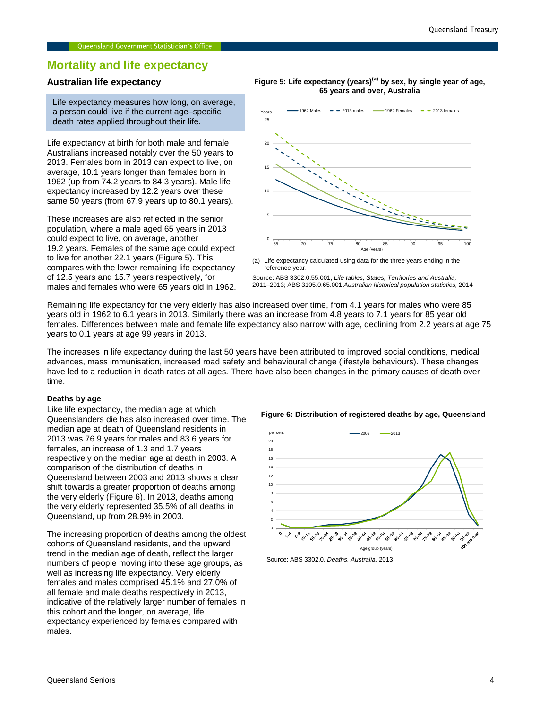# **Mortality and life expectancy**

# **Australian life expectancy**

Life expectancy measures how long, on average, a person could live if the current age–specific death rates applied throughout their life.

Life expectancy at birth for both male and female Australians increased notably over the 50 years to 2013. Females born in 2013 can expect to live, on average, 10.1 years longer than females born in 1962 (up from 74.2 years to 84.3 years). Male life expectancy increased by 12.2 years over these same 50 years (from 67.9 years up to 80.1 years).

These increases are also reflected in the senior population, where a male aged 65 years in 2013 could expect to live, on average, another 19.2 years. Females of the same age could expect to live for another 22.1 years (Figure 5). This compares with the lower remaining life expectancy of 12.5 years and 15.7 years respectively, for males and females who were 65 years old in 1962.

## **Figure 5: Life expectancy (years)(a) by sex, by single year of age, 65 years and over, Australia**



(a) Life expectancy calculated using data for the three years ending in the reference year.

Source: ABS 3302.0.55.001, Life tables, States, Territories and Australia, 2011–2013; ABS 3105.0.65.001 Australian historical population statistics, 2014

Remaining life expectancy for the very elderly has also increased over time, from 4.1 years for males who were 85 years old in 1962 to 6.1 years in 2013. Similarly there was an increase from 4.8 years to 7.1 years for 85 year old females. Differences between male and female life expectancy also narrow with age, declining from 2.2 years at age 75 years to 0.1 years at age 99 years in 2013.

The increases in life expectancy during the last 50 years have been attributed to improved social conditions, medical advances, mass immunisation, increased road safety and behavioural change (lifestyle behaviours). These changes have led to a reduction in death rates at all ages. There have also been changes in the primary causes of death over time.

## **Deaths by age**

Like life expectancy, the median age at which Queenslanders die has also increased over time. The median age at death of Queensland residents in 2013 was 76.9 years for males and 83.6 years for females, an increase of 1.3 and 1.7 years respectively on the median age at death in 2003. A comparison of the distribution of deaths in Queensland between 2003 and 2013 shows a clear shift towards a greater proportion of deaths among the very elderly (Figure 6). In 2013, deaths among the very elderly represented 35.5% of all deaths in Queensland, up from 28.9% in 2003.

The increasing proportion of deaths among the oldest cohorts of Queensland residents, and the upward trend in the median age of death, reflect the larger numbers of people moving into these age groups, as well as increasing life expectancy. Very elderly females and males comprised 45.1% and 27.0% of all female and male deaths respectively in 2013, indicative of the relatively larger number of females in this cohort and the longer, on average, life expectancy experienced by females compared with males.





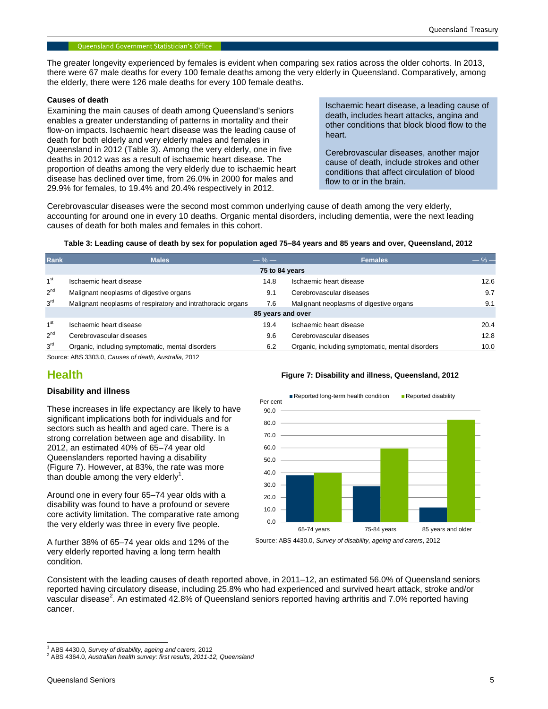The greater longevity experienced by females is evident when comparing sex ratios across the older cohorts. In 2013, there were 67 male deaths for every 100 female deaths among the very elderly in Queensland. Comparatively, among the elderly, there were 126 male deaths for every 100 female deaths.

## **Causes of death**

Examining the main causes of death among Queensland's seniors enables a greater understanding of patterns in mortality and their flow-on impacts. Ischaemic heart disease was the leading cause of death for both elderly and very elderly males and females in Queensland in 2012 (Table 3). Among the very elderly, one in five deaths in 2012 was as a result of ischaemic heart disease. The proportion of deaths among the very elderly due to ischaemic heart disease has declined over time, from 26.0% in 2000 for males and 29.9% for females, to 19.4% and 20.4% respectively in 2012.

Ischaemic heart disease, a leading cause of death, includes heart attacks, angina and other conditions that block blood flow to the heart.

Cerebrovascular diseases, another major cause of death, include strokes and other conditions that affect circulation of blood flow to or in the brain.

Cerebrovascular diseases were the second most common underlying cause of death among the very elderly, accounting for around one in every 10 deaths. Organic mental disorders, including dementia, were the next leading causes of death for both males and females in this cohort.

## **Table 3: Leading cause of death by sex for population aged 75–84 years and 85 years and over, Queensland, 2012**

| <b>Rank</b>     | <b>Males</b>                                                | $-$ % $-$         | <b>Females</b>                                   |      |
|-----------------|-------------------------------------------------------------|-------------------|--------------------------------------------------|------|
|                 |                                                             | 75 to 84 years    |                                                  |      |
| 1 <sup>st</sup> | Ischaemic heart disease                                     | 14.8              | Ischaemic heart disease                          | 12.6 |
| $2^{nd}$        | Malignant neoplasms of digestive organs                     | 9.1               | Cerebrovascular diseases                         | 9.7  |
| 3 <sup>rd</sup> | Malignant neoplasms of respiratory and intrathoracic organs |                   | Malignant neoplasms of digestive organs          | 9.1  |
|                 |                                                             | 85 years and over |                                                  |      |
| 1 <sup>st</sup> | Ischaemic heart disease                                     | 19.4              | Ischaemic heart disease                          | 20.4 |
| 2 <sup>nd</sup> | Cerebrovascular diseases                                    | 9.6               | Cerebrovascular diseases                         | 12.8 |
| 3 <sup>rd</sup> | Organic, including symptomatic, mental disorders            | 6.2               | Organic, including symptomatic, mental disorders | 10.0 |

Source: ABS 3303.0, Causes of death, Australia, 2012

# **Health**

## **Disability and illness**

These increases in life expectancy are likely to have significant implications both for individuals and for sectors such as health and aged care. There is a strong correlation between age and disability. In 2012, an estimated 40% of 65–74 year old Queenslanders reported having a disability (Figure 7). However, at 83%, the rate was more than double among the very elderly<sup>1</sup>.

Around one in every four 65–74 year olds with a disability was found to have a profound or severe core activity limitation. The comparative rate among the very elderly was three in every five people.

Per cent Reported long-term health condition Reported disability

**Figure 7: Disability and illness, Queensland, 2012** 



Source: ABS 4430.0, Survey of disability, ageing and carers, 2012

A further 38% of 65–74 year olds and 12% of the very elderly reported having a long term health condition.

Consistent with the leading causes of death reported above, in 2011–12, an estimated 56.0% of Queensland seniors reported having circulatory disease, including 25.8% who had experienced and survived heart attack, stroke and/or vascular disease<sup>2</sup>. An estimated 42.8% of Queensland seniors reported having arthritis and 7.0% reported having cancer.

 $\overline{a}$ 1 ABS 4430.0, Survey of disability, ageing and carers, 2012

<sup>&</sup>lt;sup>2</sup> ABS 4364.0, Australian health survey: first results, 2011-12, Queensland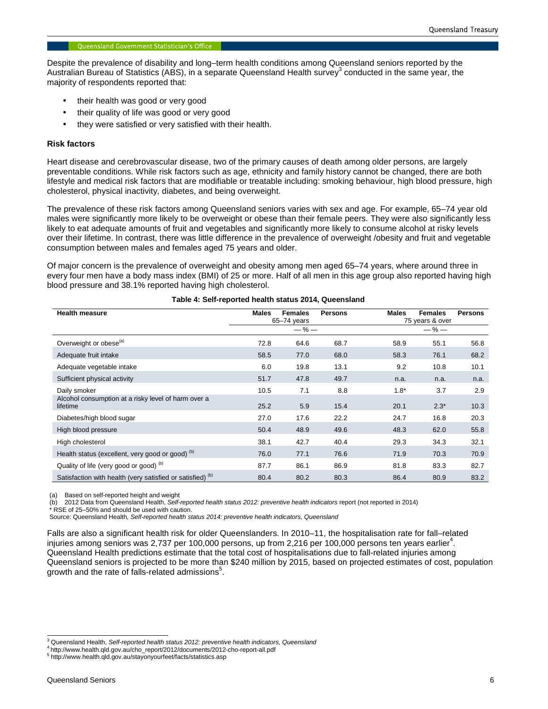Despite the prevalence of disability and long–term health conditions among Queensland seniors reported by the Australian Bureau of Statistics (ABS), in a separate Queensland Health survey<sup>3</sup> conducted in the same year, the majority of respondents reported that:

- their health was good or very good
- their quality of life was good or very good
- they were satisfied or very satisfied with their health.

### **Risk factors**

Heart disease and cerebrovascular disease, two of the primary causes of death among older persons, are largely preventable conditions. While risk factors such as age, ethnicity and family history cannot be changed, there are both lifestyle and medical risk factors that are modifiable or treatable including: smoking behaviour, high blood pressure, high cholesterol, physical inactivity, diabetes, and being overweight.

The prevalence of these risk factors among Queensland seniors varies with sex and age. For example, 65–74 year old males were significantly more likely to be overweight or obese than their female peers. They were also significantly less likely to eat adequate amounts of fruit and vegetables and significantly more likely to consume alcohol at risky levels over their lifetime. In contrast, there was little difference in the prevalence of overweight /obesity and fruit and vegetable consumption between males and females aged 75 years and older.

Of major concern is the prevalence of overweight and obesity among men aged 65–74 years, where around three in every four men have a body mass index (BMI) of 25 or more. Half of all men in this age group also reported having high blood pressure and 38.1% reported having high cholesterol.

| <b>Health measure</b>                                                 | <b>Females</b><br><b>Persons</b><br>Males<br>$65 - 74$ years |           |      | Persons<br>Males<br><b>Females</b><br>75 years & over |           |      |
|-----------------------------------------------------------------------|--------------------------------------------------------------|-----------|------|-------------------------------------------------------|-----------|------|
|                                                                       |                                                              | $-$ % $-$ |      |                                                       | $-$ % $-$ |      |
| Overweight or obese <sup>(a)</sup>                                    | 72.8                                                         | 64.6      | 68.7 | 58.9                                                  | 55.1      | 56.8 |
| Adequate fruit intake                                                 | 58.5                                                         | 77.0      | 68.0 | 58.3                                                  | 76.1      | 68.2 |
| Adequate vegetable intake                                             | 6.0                                                          | 19.8      | 13.1 | 9.2                                                   | 10.8      | 10.1 |
| Sufficient physical activity                                          | 51.7                                                         | 47.8      | 49.7 | n.a.                                                  | n.a.      | n.a. |
| Daily smoker                                                          | 10.5                                                         | 7.1       | 8.8  | $1.8*$                                                | 3.7       | 2.9  |
| Alcohol consumption at a risky level of harm over a<br>lifetime       | 25.2                                                         | 5.9       | 15.4 | 20.1                                                  | $2.3*$    | 10.3 |
| Diabetes/high blood sugar                                             | 27.0                                                         | 17.6      | 22.2 | 24.7                                                  | 16.8      | 20.3 |
| High blood pressure                                                   | 50.4                                                         | 48.9      | 49.6 | 48.3                                                  | 62.0      | 55.8 |
| High cholesterol                                                      | 38.1                                                         | 42.7      | 40.4 | 29.3                                                  | 34.3      | 32.1 |
| Health status (excellent, very good or good) (b)                      | 76.0                                                         | 77.1      | 76.6 | 71.9                                                  | 70.3      | 70.9 |
| Quality of life (very good or good) (b)                               | 87.7                                                         | 86.1      | 86.9 | 81.8                                                  | 83.3      | 82.7 |
| Satisfaction with health (very satisfied or satisfied) <sup>(b)</sup> | 80.4                                                         | 80.2      | 80.3 | 86.4                                                  | 80.9      | 83.2 |

#### **Table 4: Self-reported health status 2014, Queensland**

(a) Based on self-reported height and weight

(b) 2012 Data from Queensland Health, Self-reported health status 2012: preventive health indicators report (not reported in 2014)

\* RSE of 25–50% and should be used with caution.

Source: Queensland Health, Self-reported health status 2014: preventive health indicators, Queensland

Falls are also a significant health risk for older Queenslanders. In 2010–11, the hospitalisation rate for fall–related injuries among seniors was 2,737 per 100,000 persons, up from 2,216 per 100,000 persons ten years earlier<sup>4</sup>. Queensland Health predictions estimate that the total cost of hospitalisations due to fall-related injuries among Queensland seniors is projected to be more than \$240 million by 2015, based on projected estimates of cost, population growth and the rate of falls-related admissions<sup>5</sup>.

 3 Queensland Health, Self-reported health status 2012: preventive health indicators, Queensland

<sup>&</sup>lt;sup>4</sup> http://www.health.qld.gov.au/cho\_report/2012/documents/2012-cho-report-all.pdf

<sup>5</sup> http://www.health.qld.gov.au/stayonyourfeet/facts/statistics.asp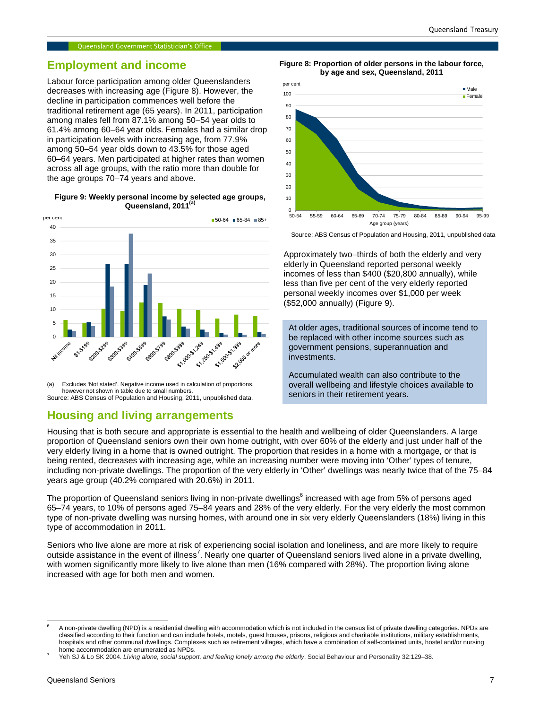# **Employment and income**

Labour force participation among older Queenslanders decreases with increasing age (Figure 8). However, the decline in participation commences well before the traditional retirement age (65 years). In 2011, participation among males fell from 87.1% among 50–54 year olds to 61.4% among 60–64 year olds. Females had a similar drop in participation levels with increasing age, from 77.9% among 50–54 year olds down to 43.5% for those aged 60–64 years. Men participated at higher rates than women across all age groups, with the ratio more than double for the age groups 70–74 years and above.

#### **Figure 9: Weekly personal income by selected age groups, Queensland, 2011(a)**



(a) Excludes 'Not stated'. Negative income used in calculation of proportions, however not shown in table due to small numbers. Source: ABS Census of Population and Housing, 2011, unpublished data.

**Housing and living arrangements** 





Source: ABS Census of Population and Housing, 2011, unpublished data

Approximately two–thirds of both the elderly and very elderly in Queensland reported personal weekly incomes of less than \$400 (\$20,800 annually), while less than five per cent of the very elderly reported personal weekly incomes over \$1,000 per week (\$52,000 annually) (Figure 9).

At older ages, traditional sources of income tend to be replaced with other income sources such as government pensions, superannuation and investments.

Accumulated wealth can also contribute to the overall wellbeing and lifestyle choices available to seniors in their retirement years.

Housing that is both secure and appropriate is essential to the health and wellbeing of older Queenslanders. A large proportion of Queensland seniors own their own home outright, with over 60% of the elderly and just under half of the very elderly living in a home that is owned outright. The proportion that resides in a home with a mortgage, or that is being rented, decreases with increasing age, while an increasing number were moving into 'Other' types of tenure, including non-private dwellings. The proportion of the very elderly in 'Other' dwellings was nearly twice that of the 75–84 years age group (40.2% compared with 20.6%) in 2011.

The proportion of Queensland seniors living in non-private dwellings<sup>6</sup> increased with age from 5% of persons aged 65–74 years, to 10% of persons aged 75–84 years and 28% of the very elderly. For the very elderly the most common type of non-private dwelling was nursing homes, with around one in six very elderly Queenslanders (18%) living in this type of accommodation in 2011.

Seniors who live alone are more at risk of experiencing social isolation and loneliness, and are more likely to require outside assistance in the event of illness<sup>7</sup>. Nearly one quarter of Queensland seniors lived alone in a private dwelling, with women significantly more likely to live alone than men (16% compared with 28%). The proportion living alone increased with age for both men and women.

j

<sup>6</sup> A non-private dwelling (NPD) is a residential dwelling with accommodation which is not included in the census list of private dwelling categories. NPDs are classified according to their function and can include hotels, motels, guest houses, prisons, religious and charitable institutions, military establishments, hospitals and other communal dwellings. Complexes such as retirement villages, which have a combination of self-contained units, hostel and/or nursing home accommodation are enumerated as NPDs.

<sup>7</sup> Yeh SJ & Lo SK 2004. Living alone, social support, and feeling lonely among the elderly. Social Behaviour and Personality 32:129-38.